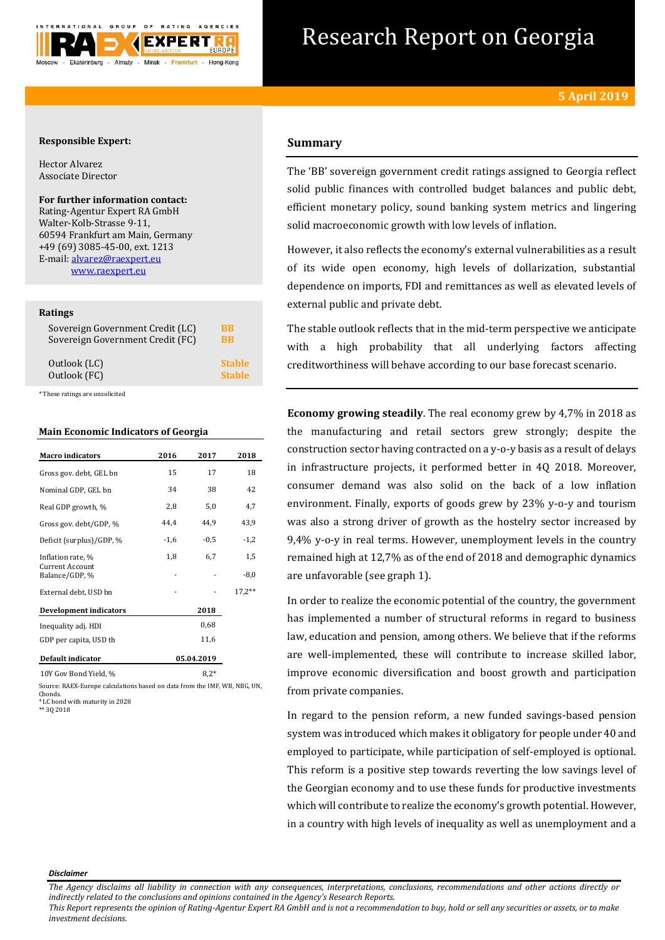

# Research Report on Georgia

## **Responsible Expert:**

Hector Alvarez Associate Director

**For further information contact:** Rating-Agentur Expert RA GmbH Walter-Kolb-Strasse 9-11, 60594 Frankfurt am Main, Germany +49 (69) 3085-45-00, ext. 1213 E-mail[: alvarez@raexpert.eu](mailto:alvarez@raexpert.eu) [www.raexpert.eu](http://raexpert.eu/)

## **Ratings**

| Sovereign Government Credit (LC) | BB            |
|----------------------------------|---------------|
| Sovereign Government Credit (FC) | BB            |
| Outlook (LC)                     | <b>Stable</b> |
| Outlook (FC)                     | <b>Stable</b> |

\* These ratings are unsolicited

# **Main Economic Indicators of Georgia**

| <b>Macro</b> indicators                  | 2016   | 2017       | 2018     |
|------------------------------------------|--------|------------|----------|
| Gross gov. debt, GEL bn                  | 15     | 17         | 18       |
| Nominal GDP, GEL bn                      | 34     | 38         | 42       |
| Real GDP growth, %                       | 2,8    | 5,0        | 4,7      |
| Gross gov. debt/GDP, %                   | 44,4   | 44.9       | 43,9     |
| Deficit (surplus)/GDP, %                 | $-1,6$ | $-0.5$     | $-1,2$   |
| Inflation rate, %                        | 1,8    | 6,7        | 1,5      |
| <b>Current Account</b><br>Balance/GDP, % |        |            | $-8,0$   |
| External debt, USD bn                    |        |            | $17,2**$ |
| Development indicators                   |        | 2018       |          |
| Inequality adj. HDI                      |        | 0,68       |          |
| GDP per capita, USD th                   |        | 11,6       |          |
| <b>Default indicator</b>                 |        | 05.04.2019 |          |
| 10Y Gov Bond Yield, %                    |        | $8.2*$     |          |

Source: RAEX-Europe calculations based on data from the IMF, WB, NBG, UN, Cbonds. \* LC bond with maturity in 2028

\*\* 3Q 2018

# **Summary**

The 'BB' sovereign government credit ratings assigned to Georgia reflect solid public finances with controlled budget balances and public debt, efficient monetary policy, sound banking system metrics and lingering solid macroeconomic growth with low levels of inflation.

However, it also reflects the economy's external vulnerabilities as a result of its wide open economy, high levels of dollarization, substantial dependence on imports, FDI and remittances as well as elevated levels of external public and private debt.

The stable outlook reflects that in the mid-term perspective we anticipate with a high probability that all underlying factors affecting creditworthiness will behave according to our base forecast scenario.

**Economy growing steadily**. The real economy grew by 4,7% in 2018 as the manufacturing and retail sectors grew strongly; despite the construction sector having contracted on a y-o-y basis as a result of delays in infrastructure projects, it performed better in 4Q 2018. Moreover, consumer demand was also solid on the back of a low inflation environment. Finally, exports of goods grew by 23% y-o-y and tourism was also a strong driver of growth as the hostelry sector increased by 9,4% y-o-y in real terms. However, unemployment levels in the country remained high at 12,7% as of the end of 2018 and demographic dynamics are unfavorable (see graph 1).

In order to realize the economic potential of the country, the government has implemented a number of structural reforms in regard to business law, education and pension, among others. We believe that if the reforms are well-implemented, these will contribute to increase skilled labor, improve economic diversification and boost growth and participation from private companies.

In regard to the pension reform, a new funded savings-based pension system was introduced which makes it obligatory for people under 40 and employed to participate, while participation of self-employed is optional. This reform is a positive step towards reverting the low savings level of the Georgian economy and to use these funds for productive investments which will contribute to realize the economy's growth potential. However, in a country with high levels of inequality as well as unemployment and a

#### *Disclaimer*

*The Agency disclaims all liability in connection with any consequences, interpretations, conclusions, recommendations and other actions directly or indirectly related to the conclusions and opinions contained in the Agency's Research Reports.*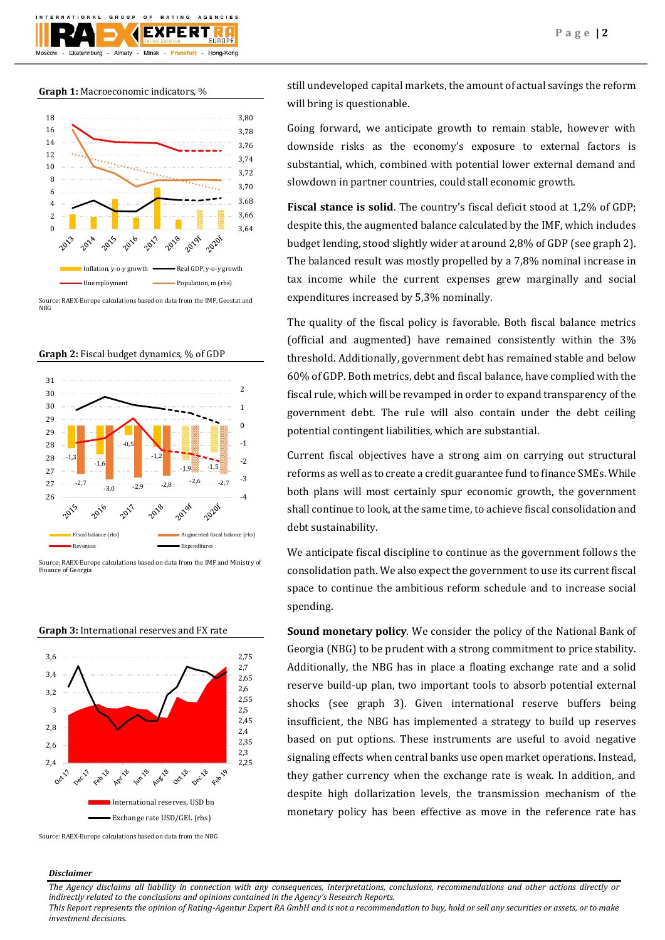## **Graph 1:** Macroeconomic indicators, %



Source: RAEX-Europe calculations based on data from the IMF, Geostat and NBG











Source: RAEX-Europe calculations based on data from the NBG

still undeveloped capital markets, the amount of actual savings the reform will bring is questionable.

Going forward, we anticipate growth to remain stable, however with downside risks as the economy's exposure to external factors is substantial, which, combined with potential lower external demand and slowdown in partner countries, could stall economic growth.

**Fiscal stance is solid**. The country's fiscal deficit stood at 1,2% of GDP; despite this, the augmented balance calculated by the IMF, which includes budget lending, stood slightly wider at around 2,8% of GDP (see graph 2). The balanced result was mostly propelled by a 7,8% nominal increase in tax income while the current expenses grew marginally and social expenditures increased by 5,3% nominally.

The quality of the fiscal policy is favorable. Both fiscal balance metrics (official and augmented) have remained consistently within the 3% threshold. Additionally, government debt has remained stable and below 60% of GDP. Both metrics, debt and fiscal balance, have complied with the fiscal rule, which will be revamped in order to expand transparency of the government debt. The rule will also contain under the debt ceiling potential contingent liabilities, which are substantial.

Current fiscal objectives have a strong aim on carrying out structural reforms as well as to create a credit guarantee fund to finance SMEs. While both plans will most certainly spur economic growth, the government shall continue to look, at the same time, to achieve fiscal consolidation and debt sustainability.

We anticipate fiscal discipline to continue as the government follows the consolidation path. We also expect the government to use its current fiscal space to continue the ambitious reform schedule and to increase social spending.

**Sound monetary policy**. We consider the policy of the National Bank of Georgia (NBG) to be prudent with a strong commitment to price stability. Additionally, the NBG has in place a floating exchange rate and a solid reserve build-up plan, two important tools to absorb potential external shocks (see graph 3). Given international reserve buffers being insufficient, the NBG has implemented a strategy to build up reserves based on put options. These instruments are useful to avoid negative signaling effects when central banks use open market operations. Instead, they gather currency when the exchange rate is weak. In addition, and despite high dollarization levels, the transmission mechanism of the monetary policy has been effective as move in the reference rate has

## *Disclaimer*

*The Agency disclaims all liability in connection with any consequences, interpretations, conclusions, recommendations and other actions directly or indirectly related to the conclusions and opinions contained in the Agency's Research Reports.*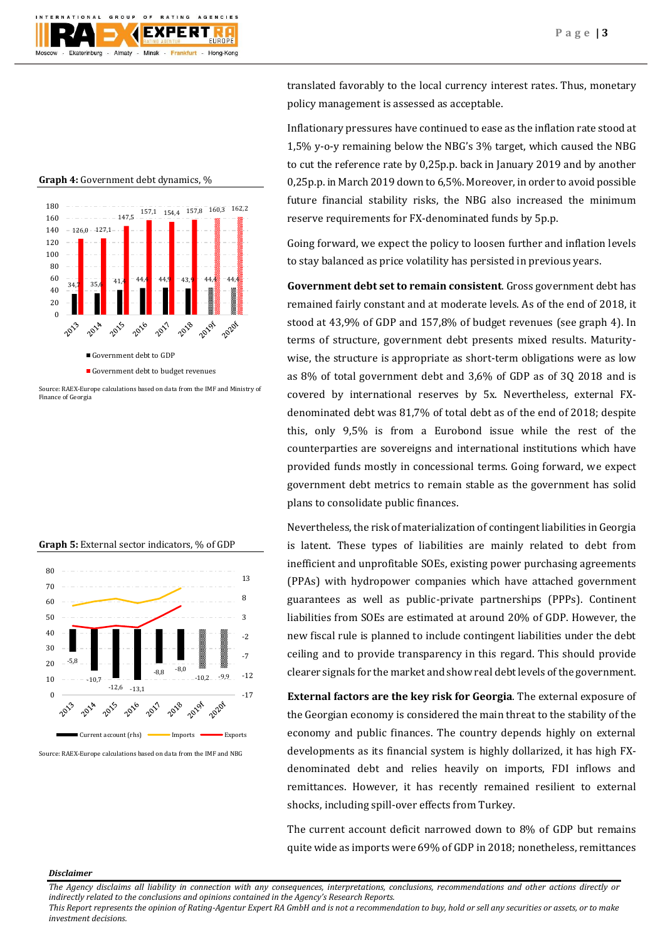

**Graph 4:** Government debt dynamics, %



Source: RAEX-Europe calculations based on data from the IMF and Ministry of Finance of Georgia

| <b>Graph 5:</b> External sector indicators, % of GDP |  |  |
|------------------------------------------------------|--|--|



Source: RAEX-Europe calculations based on data from the IMF and NBG

translated favorably to the local currency interest rates. Thus, monetary policy management is assessed as acceptable.

Inflationary pressures have continued to ease as the inflation rate stood at 1,5% y-o-y remaining below the NBG's 3% target, which caused the NBG to cut the reference rate by 0,25p.p. back in January 2019 and by another 0,25p.p. in March 2019 down to 6,5%. Moreover, in order to avoid possible future financial stability risks, the NBG also increased the minimum reserve requirements for FX-denominated funds by 5p.p.

Going forward, we expect the policy to loosen further and inflation levels to stay balanced as price volatility has persisted in previous years.

**Government debt set to remain consistent**. Gross government debt has remained fairly constant and at moderate levels. As of the end of 2018, it stood at 43,9% of GDP and 157,8% of budget revenues (see graph 4). In terms of structure, government debt presents mixed results. Maturitywise, the structure is appropriate as short-term obligations were as low as 8% of total government debt and 3,6% of GDP as of 3Q 2018 and is covered by international reserves by 5x. Nevertheless, external FXdenominated debt was 81,7% of total debt as of the end of 2018; despite this, only 9,5% is from a Eurobond issue while the rest of the counterparties are sovereigns and international institutions which have provided funds mostly in concessional terms. Going forward, we expect government debt metrics to remain stable as the government has solid plans to consolidate public finances.

Nevertheless, the risk of materialization of contingent liabilities in Georgia is latent. These types of liabilities are mainly related to debt from inefficient and unprofitable SOEs, existing power purchasing agreements (PPAs) with hydropower companies which have attached government guarantees as well as public-private partnerships (PPPs). Continent liabilities from SOEs are estimated at around 20% of GDP. However, the new fiscal rule is planned to include contingent liabilities under the debt ceiling and to provide transparency in this regard. This should provide clearer signals for the market and show real debt levels of the government.

**External factors are the key risk for Georgia**. The external exposure of the Georgian economy is considered the main threat to the stability of the economy and public finances. The country depends highly on external developments as its financial system is highly dollarized, it has high FXdenominated debt and relies heavily on imports, FDI inflows and remittances. However, it has recently remained resilient to external shocks, including spill-over effects from Turkey.

The current account deficit narrowed down to 8% of GDP but remains quite wide as imports were 69% of GDP in 2018; nonetheless, remittances

### *Disclaimer*

*The Agency disclaims all liability in connection with any consequences, interpretations, conclusions, recommendations and other actions directly or indirectly related to the conclusions and opinions contained in the Agency's Research Reports.*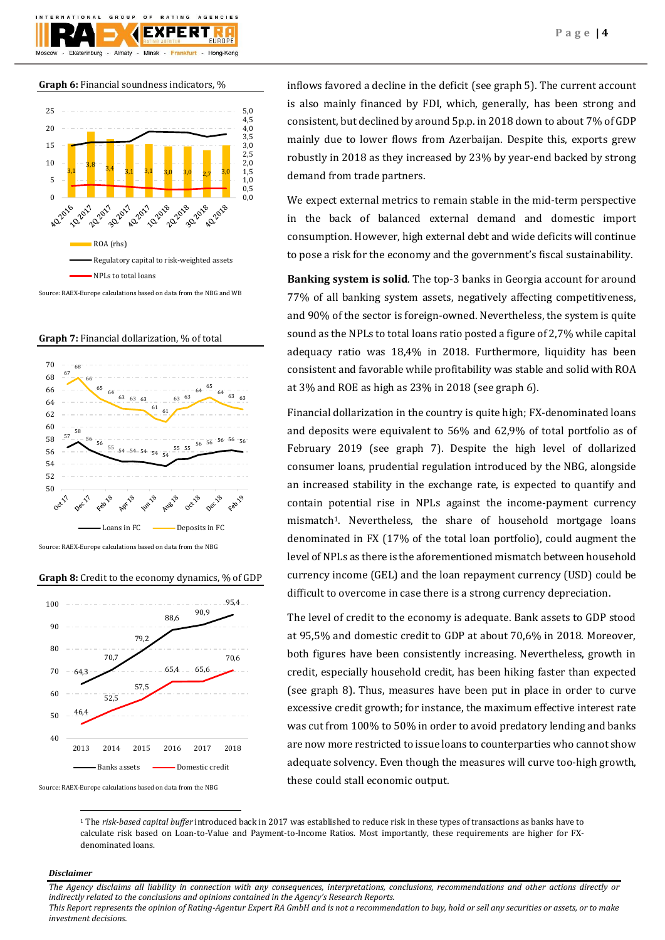

**Graph 6:** Financial soundness indicators, %



Source: RAEX-Europe calculations based on data from the NBG and WB

**Graph 7:** Financial dollarization, % of total



**Graph 8:** Credit to the economy dynamics, % of GDP



Source: RAEX-Europe calculations based on data from the NBG

inflows favored a decline in the deficit (see graph 5). The current account is also mainly financed by FDI, which, generally, has been strong and consistent, but declined by around 5p.p. in 2018 down to about 7% of GDP mainly due to lower flows from Azerbaijan. Despite this, exports grew robustly in 2018 as they increased by 23% by year-end backed by strong demand from trade partners.

We expect external metrics to remain stable in the mid-term perspective in the back of balanced external demand and domestic import consumption. However, high external debt and wide deficits will continue to pose a risk for the economy and the government's fiscal sustainability.

**Banking system is solid**. The top-3 banks in Georgia account for around 77% of all banking system assets, negatively affecting competitiveness, and 90% of the sector is foreign-owned. Nevertheless, the system is quite sound as the NPLs to total loans ratio posted a figure of 2,7% while capital adequacy ratio was 18,4% in 2018. Furthermore, liquidity has been consistent and favorable while profitability was stable and solid with ROA at 3% and ROE as high as 23% in 2018 (see graph 6).

Financial dollarization in the country is quite high; FX-denominated loans and deposits were equivalent to 56% and 62,9% of total portfolio as of February 2019 (see graph 7). Despite the high level of dollarized consumer loans, prudential regulation introduced by the NBG, alongside an increased stability in the exchange rate, is expected to quantify and contain potential rise in NPLs against the income-payment currency mismatch<sup>1</sup>. Nevertheless, the share of household mortgage loans denominated in FX (17% of the total loan portfolio), could augment the level of NPLs as there is the aforementioned mismatch between household currency income (GEL) and the loan repayment currency (USD) could be difficult to overcome in case there is a strong currency depreciation.

The level of credit to the economy is adequate. Bank assets to GDP stood at 95,5% and domestic credit to GDP at about 70,6% in 2018. Moreover, both figures have been consistently increasing. Nevertheless, growth in credit, especially household credit, has been hiking faster than expected (see graph 8). Thus, measures have been put in place in order to curve excessive credit growth; for instance, the maximum effective interest rate was cut from 100% to 50% in order to avoid predatory lending and banks are now more restricted to issue loans to counterparties who cannot show adequate solvency. Even though the measures will curve too-high growth, these could stall economic output.

<sup>1</sup> The *risk-based capital buffer* introduced back in 2017 was established to reduce risk in these types of transactions as banks have to calculate risk based on Loan-to-Value and Payment-to-Income Ratios. Most importantly, these requirements are higher for FXdenominated loans.

## *Disclaimer*

**.** 

*The Agency disclaims all liability in connection with any consequences, interpretations, conclusions, recommendations and other actions directly or indirectly related to the conclusions and opinions contained in the Agency's Research Reports.*